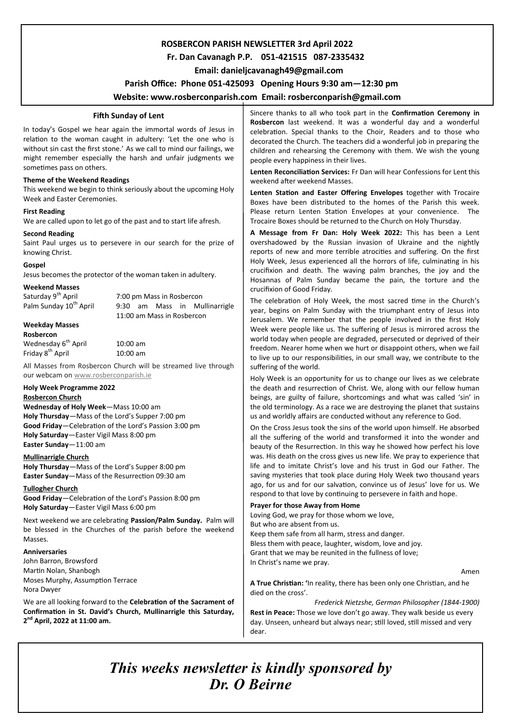## **ROSBERCON PARISH NEWSLETTER 3rd April 2022**

## **Fr. Dan Cavanagh P.P. 051-421515 087-2335432**

 **Email: danieljcavanagh49@gmail.com**

## **Parish Office: Phone 051-425093****Opening Hours 9:30 am—12:30 pm**

## **Website: www.rosberconparish.com Email: rosberconparish@gmail.com**

#### **Fifth Sunday of Lent**

In today's Gospel we hear again the immortal words of Jesus in relation to the woman caught in adultery: 'Let the one who is without sin cast the first stone.' As we call to mind our failings, we might remember especially the harsh and unfair judgments we sometimes pass on others.

#### **Theme of the Weekend Readings**

This weekend we begin to think seriously about the upcoming Holy Week and Easter Ceremonies.

#### **First Reading**

We are called upon to let go of the past and to start life afresh.

#### **Second Reading**

Saint Paul urges us to persevere in our search for the prize of knowing Christ.

#### **Gospel**

Jesus becomes the protector of the woman taken in adultery.

# **Weekend Masses**

7:00 pm Mass in Rosbercon Palm Sunday 10<sup>th</sup> April 9:30 am Mass in Mullinarrigle 11:00 am Mass in Rosbercon

#### **Weekday Masses**

**Rosbercon**

Friday 8<sup>th</sup> April

Wednesday  $6^{th}$  April 10:00 am<br>Fridav  $8^{th}$  April 10:00 am

All Masses from Rosbercon Church will be streamed live through our webcam on [www.rosberconparish.ie](http://www.rosberconparish.ie/)

## **Holy Week Programme 2022**

#### **Rosbercon Church**

**Wednesday of Holy Week**—Mass 10:00 am **Holy Thursday**—Mass of the Lord's Supper 7:00 pm **Good Friday**—Celebration of the Lord's Passion 3:00 pm **Holy Saturday**—Easter Vigil Mass 8:00 pm **Easter Sunday**—11:00 am

#### **Mullinarrigle Church**

**Holy Thursday**—Mass of the Lord's Supper 8:00 pm **Easter Sunday**—Mass of the Resurrection 09:30 am

#### **Tullogher Church**

**Good Friday**—Celebration of the Lord's Passion 8:00 pm **Holy Saturday**—Easter Vigil Mass 6:00 pm

Next weekend we are celebrating **Passion/Palm Sunday.** Palm will be blessed in the Churches of the parish before the weekend Masses.

#### **Anniversaries**

John Barron, Browsford Martin Nolan, Shanbogh Moses Murphy, Assumption Terrace Nora Dwyer

We are all looking forward to the **Celebration of the Sacrament of Confirmation in St. David's Church, Mullinarrigle this Saturday, 2 nd April, 2022 at 11:00 am.**

Sincere thanks to all who took part in the **Confirmation Ceremony in Rosbercon** last weekend. It was a wonderful day and a wonderful celebration. Special thanks to the Choir, Readers and to those who decorated the Church. The teachers did a wonderful job in preparing the children and rehearsing the Ceremony with them. We wish the young people every happiness in their lives.

**Lenten Reconciliation Services:** Fr Dan will hear Confessions for Lent this weekend after weekend Masses.

**Lenten Station and Easter Offering Envelopes** together with Trocaire Boxes have been distributed to the homes of the Parish this week. Please return Lenten Station Envelopes at your convenience. The Trocaire Boxes should be returned to the Church on Holy Thursday.

**A Message from Fr Dan: Holy Week 2022:** This has been a Lent overshadowed by the Russian invasion of Ukraine and the nightly reports of new and more terrible atrocities and suffering. On the first Holy Week, Jesus experienced all the horrors of life, culminating in his crucifixion and death. The waving palm branches, the joy and the Hosannas of Palm Sunday became the pain, the torture and the crucifixion of Good Friday.

The celebration of Holy Week, the most sacred time in the Church's year, begins on Palm Sunday with the triumphant entry of Jesus into Jerusalem. We remember that the people involved in the first Holy Week were people like us. The suffering of Jesus is mirrored across the world today when people are degraded, persecuted or deprived of their freedom. Nearer home when we hurt or disappoint others, when we fail to live up to our responsibilities, in our small way, we contribute to the suffering of the world.

Holy Week is an opportunity for us to change our lives as we celebrate the death and resurrection of Christ. We, along with our fellow human beings, are guilty of failure, shortcomings and what was called 'sin' in the old terminology. As a race we are destroying the planet that sustains us and worldly affairs are conducted without any reference to God.

On the Cross Jesus took the sins of the world upon himself. He absorbed all the suffering of the world and transformed it into the wonder and beauty of the Resurrection. In this way he showed how perfect his love was. His death on the cross gives us new life. We pray to experience that life and to imitate Christ's love and his trust in God our Father. The saving mysteries that took place during Holy Week two thousand years ago, for us and for our salvation, convince us of Jesus' love for us. We respond to that love by continuing to persevere in faith and hope.

#### **Prayer for those Away from Home**

Loving God, we pray for those whom we love, But who are absent from us. Keep them safe from all harm, stress and danger. Bless them with peace, laughter, wisdom, love and joy. Grant that we may be reunited in the fullness of love; In Christ's name we pray.

Amen

**A True Christian: '**In reality, there has been only one Christian, and he died on the cross'.

*Frederick Nietzshe, German Philosopher (1844-1900)* **Rest in Peace:** Those we love don't go away. They walk beside us every day. Unseen, unheard but always near; still loved, still missed and very

*This weeks newsletter is kindly sponsored by Dr. O Beirne*

dear.